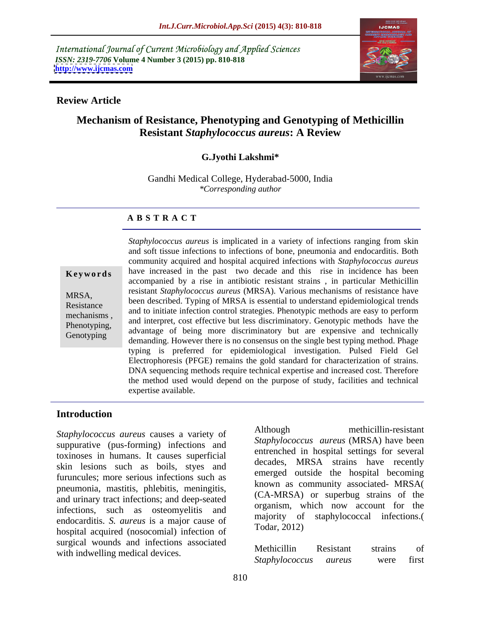International Journal of Current Microbiology and Applied Sciences *ISSN: 2319-7706* **Volume 4 Number 3 (2015) pp. 810-818 <http://www.ijcmas.com>**



### **Review Article**

# **Mechanism of Resistance, Phenotyping and Genotyping of Methicillin Resistant** *Staphylococcus aureus***: A Review**

### **G.Jyothi Lakshmi\***

Gandhi Medical College, Hyderabad-5000, India *\*Corresponding author*

### **A B S T R A C T**

**Genotyping** 

*Staphylococcus aureus* is implicated in a variety of infections ranging from skin and soft tissue infections to infections of bone, pneumonia and endocarditis. Both community acquired and hospital acquired infections with *Staphylococcus aureus* **Keywords** have increased in the past two decade and this rise in incidence has been accompanied by a rise in antibiotic resistant strains , in particular Methicillin resistant *Staphylococcus aureus* (MRSA). Various mechanisms of resistance have MRSA,<br>been described. Typing of MRSA is essential to understand epidemiological trends Resistance<br>
and to initiate infection control strategies. Phenotypic methods are easy to perform mechanisms,<br>
and interpret, cost effective but less discriminatory. Genotypic methods have the Phenotyping, and interpret, cost effective out less discriminatory. Genotypic includes have the advantage of being more discriminatory but are expensive and technically demanding. However there is no consensus on the single best typing method. Phage typing is preferred for epidemiological investigation. Pulsed Field Gel Electrophoresis (PFGE) remains the gold standard for characterization of strains. DNA sequencing methods require technical expertise and increased cost. Therefore the method used would depend on the purpose of study, facilities and technical expertise available.

### **Introduction**

*Staphylococcus aureus* causes a variety of suppurative (pus-forming) infections and toxinoses in humans. It causes superficial skin lesions such as boils, styes and furuncules; more serious infections such as pneumonia, mastitis, phlebitis, meningitis,<br>and urinary tract infections; and deep-seated (CA-MRSA) or superbug strains of the infections, such as osteomyelitis and endocarditis. *S. aureus* is a major cause of majority of hermital aggregated (negational) infection of Todar, 2012) hospital acquired (nosocomial) infection of surgical wounds and infections associated<br>
Methicillin Resistant strains of

methicillin-resistant *Staphylococcus aureus* (MRSA) have been entrenched in hospital settings for several decades, MRSA strains have recently emerged outside the hospital becoming known as community associated- MRSA( (CA-MRSA) or superbug strains of the organism, which now account for the majority of staphylococcal infections.( Todar, 2012)

with indwelling medical devices.<br>Staphylococcus aureus were first Methicillin Resistant strains of *Staphylococcus aureus* were first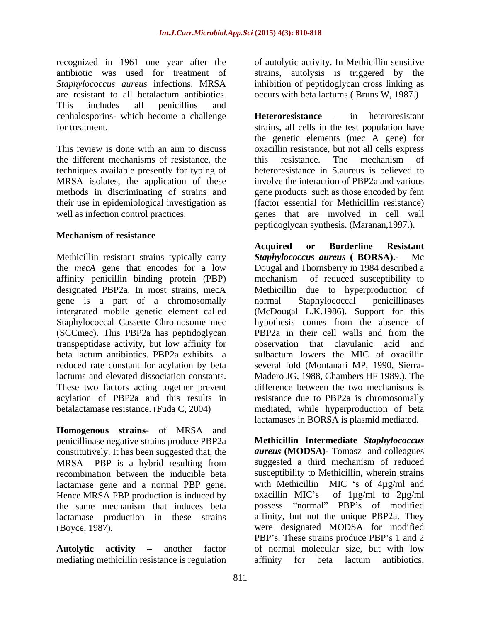recognized in 1961 one year after the antibiotic was used for treatment of strains, autolysis is triggered by the *Staphylococcus aureus* infections. MRSA inhibition of peptidoglycan cross linking as are resistant to all betalactum antibiotics. This includes all penicillins and cephalosporins- which become a challenge

the different mechanisms of resistance, the this resistance. The mechanism of techniques available presently for typing of MRSA isolates, the application of these

### **Mechanism of resistance**

Methicillin resistant strains typically carry Staphylococcus aureus (BORSA).- Mc affinity penicillin binding protein (PBP) designated PBP2a. In most strains, mecA gene is a part of a chromosomally (SCCmec). This PBP2a has peptidoglycan PBP2a in their cell walls and from the transpeptidase activity, but low affinity for beta lactum antibiotics. PBP2a exhibits a

**Homogenous strains**- of MRSA and penicillinase negative strains produce PBP2a constitutively. It has been suggested that, the MRSA PBP is a hybrid resulting from recombination between the inducible beta Hence MRSA PBP production is induced by  $\alpha$  oxacillin MIC's of 1 $\mu$ g/ml to 2 $\mu$ g/ml the same mechanism that induces beta possess "normal" PBP's of modified lactamase production in these strains

mediating methicillin resistance is regulation affinity for beta lactum antibiotics,

of autolytic activity. In Methicillin sensitive occurs with beta lactums.( Bruns W, 1987.)

for treatment. strains, all cells in the test population have This review is done with an aim to discuss oxacillin resistance, but not all cells express methods in discriminating of strains and gene products such as those encoded by fem their use in epidemiological investigation as (factor essential for Methicillin resistance) well as infection control practices. The sense of that are involved in cell wall **Heteroresistance** – in heteroresistant the genetic elements (mec A gene) for this resistance. The mechanism of heteroresistance in S.aureus is believed to involve the interaction of PBP2a and various peptidoglycan synthesis. (Maranan,1997.).

the *mecA* gene that encodes for a low Dougal and Thornsberry in 1984 described a intergrated mobile genetic element called (McDougal L.K.1986). Support for this Staphylococcal Cassette Chromosome mec hypothesis comes from the absence of reduced rate constant for acylation by beta several fold (Montanari MP, 1990, Sierra lactums and elevated dissociation constants. Madero JG, 1988, Chambers HF 1989.). The These two factors acting together prevent difference between the two mechanisms is acylation of PBP2a and this results in resistance due to PBP2a is chromosomally betalactamase resistance. (Fuda C, 2004) mediated, while hyperproduction of beta **Acquired or Borderline Resistant Staphylococcus aureus** ( **BORSA**).mechanism of reduced susceptibility to Methicillin due to hyperproduction of normal Staphylococcal penicillinases PBP2a in their cell walls and from the observation that clavulanic acid and sulbactum lowers the MIC of oxacillin lactamases in BORSA is plasmid mediated.

lactamase gene and a normal PBP gene. with Methicillin MIC 's of 4µg/ml and the same mechanism that induces beta possess "normal" PBP's of modified (Boyce, 1987). were designated MODSA for modified **Autolytic activity** – another factor of normal molecular size, but with low **Methicillin Intermediate** *Staphylococcus aureus* **(MODSA)-** Tomasz and colleagues suggested a third mechanism of reduced susceptibility to Methicillin, wherein strains oxacillin MIC s of 1µg/ml to 2µg/ml affinity, but not the unique PBP2a. They PBP's. These strains produce PBP's 1 and 2 affinity for beta lactum antibiotics,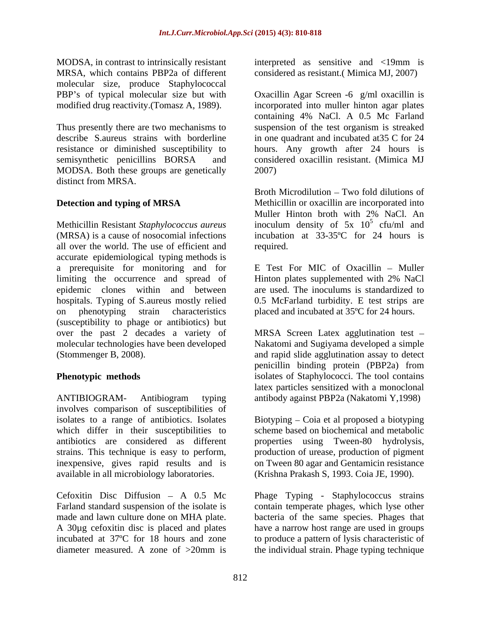MRSA, which contains PBP2a of different considered as resistant.( Mimica MJ, 2007) molecular size, produce Staphylococcal

MODSA. Both these groups are genetically distinct from MRSA.

Methicillin Resistant *Staphylococcus aureus* inoculum density of 5x 10 (MRSA) is a cause of nosocomial infections incubation at 33-35ºC for 24 hours is all over the world. The use of efficient and accurate epidemiological typing methods is a prerequisite for monitoring and for limiting the occurrence and spread of Hinton plates supplemented with 2% NaCl epidemic clones within and between are used. The inoculums is standardized to hospitals. Typing of S.aureus mostly relied on phenotyping strain characteristics placed and incubated at 35ºC for 24 hours. (susceptibility to phage or antibiotics) but over the past 2 decades a variety of MRSA Screen Latex agglutination test molecular technologies have been developed Nakatomi and Sugiyama developed a simple

ANTIBIOGRAM- Antibiogram typing antibody against PBP2a (Nakatomi Y,1998) involves comparison of susceptibilities of isolates to a range of antibiotics. Isolates Biotyping Coia et al proposed a biotyping which differ in their susceptibilities to antibiotics are considered as different properties using Tween-80 hydrolysis, strains. This technique is easy to perform, production of urease, production of pigment inexpensive, gives rapid results and is on Tween 80 agar and Gentamicin resistance available in all microbiology laboratories. (Krishna Prakash S, 1993. Coia JE, 1990).

Cefoxitin Disc Diffusion  $- A 0.5$  Mc Phage Typing - Staphylococcus strains Farland standard suspension of the isolate is contain temperate phages, which lyse other made and lawn culture done on MHA plate. bacteria of the same species. Phages that A 30µg cefoxitin disc is placed and plates incubated at 37ºC for 18 hours and zone to produce a pattern of lysis characteristic of diameter measured. A zone of >20mm is

MODSA, in contrast to intrinsically resistant interpreted as sensitive and <19mm is

PBP's of typical molecular size but with Oxacillin Agar Screen -6 g/ml oxacillin is modified drug reactivity.(Tomasz A, 1989). incorporated into muller hinton agar plates Thus presently there are two mechanisms to suspension of the test organism is streaked describe S.aureus strains with borderline in one quadrant and incubated at35 C for 24 resistance or diminished susceptibility to hours. Any growth after 24 hours is semisynthetic penicillins BORSA and considered oxacillin resistant. (Mimica MJ containing 4% NaCl. A 0.5 Mc Farland 2007)

**Detection and typing of MRSA** Methicillin or oxacillin are incorporated into Broth Microdilution – Two fold dilutions of Muller Hinton broth with 2% NaCl. An  $5 \text{ of } n/ml$  and cfu/ml and required.

> $E$  Test For MIC of Oxacillin – Muller 0.5 McFarland turbidity. E test strips are

(Stommenger B, 2008). and rapid slide agglutination assay to detect **Phenotypic methods isolates of Staphylococci.** The tool contains penicillin binding protein (PBP2a) from latex particles sensitized with a monoclonal

scheme based on biochemical and metabolic

(Krishna Prakash S, 1993. Coia JE, 1990). Phage Typing - Staphylococcus strains have a narrow host range are used in groups the individual strain. Phage typing technique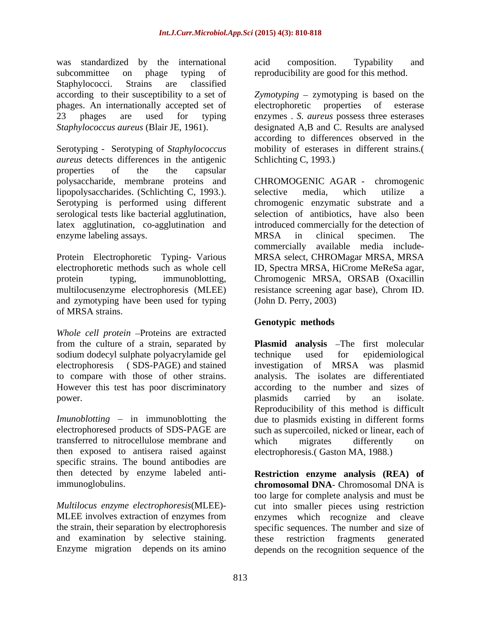was standardized by the international acid composition. Typability and subcommittee on phage typing of reproducibility are good for this method. Staphylococci. Strains are classified according to their susceptibility to a set of Zymotyping – zymotyping is based on the phages. An internationally accepted set of 23 phages are used for typing enzymes . *S. aureus* possess three esterases *Staphylococcus aureus* (Blair JE, 1961). designated A,B and C. Results are analysed

Serotyping - Serotyping of *Staphylococcus aureus* detects differences in the antigenic properties of the the capsular polysaccharide, membrane proteins and lipopolysaccharides. (Schlichting C, 1993.). enzyme labeling assays. The MRSA in clinical specimen. The

Protein Electrophoretic Typing- Various and zymotyping have been used for typing of MRSA strains.

*Whole cell protein* - Proteins are extracted from the culture of a strain, separated by sodium dodecyl sulphate polyacrylamide gel technique used for epidemiological However this test has poor discriminatory

transferred to nitrocellulose membrane and then exposed to antisera raised against specific strains. The bound antibodies are then detected by enzyme labeled anti-

the strain, their separation by electrophoresis and examination by selective staining.

acid composition. Typability and

electrophoretic properties of according to differences observed in the mobility of esterases in different strains.( Schlichting C, 1993.)

Serotyping is performed using different chromogenic enzymatic substrate and a serological tests like bacterial agglutination, selection of antibiotics, have also been latex agglutination, co-agglutination and introduced commercially for the detection of electrophoretic methods such as whole cell ID, Spectra MRSA, HiCrome MeReSa agar, protein typing, immunoblotting, Chromogenic MRSA, ORSAB (Oxacillin multilocusenzyme electrophoresis (MLEE) resistance screening agar base), Chrom ID. CHROMOGENIC AGAR - chromogenic selective media, which utilize a MRSA in clinical specimen. The commercially available media include- MRSA select, CHROMagar MRSA, MRSA (John D. Perry, 2003)

## **Genotypic methods**

electrophoresis ( SDS-PAGE) and stained investigation of MRSA was plasmid to compare with those of other strains. analysis. The isolates are differentiated power. The plasmids carried by an isolate. *Imunoblotting* – in immunoblotting the due to plasmids existing in different forms electrophoresed products of SDS-PAGE are such as supercoiled, nicked or linear, each of **Plasmid analysis** - The first molecular technique used for epidemiological according to the number and sizes of plasmids carried by an isolate. Reproducibility of this method is difficult which migrates differently on electrophoresis.( Gaston MA, 1988.)

immunoglobulins. **chromosomal DNA**- Chromosomal DNA is *Multilocus enzyme electrophoresis*(MLEE)- cut into smaller pieces using restriction MLEE involves extraction of enzymes from enzymes which recognize and cleave Enzyme migration depends on its amino depends on the recognition sequence of the**Restriction enzyme analysis (REA) of** too large for complete analysis and must be specific sequences. The number and size of these restriction fragments generated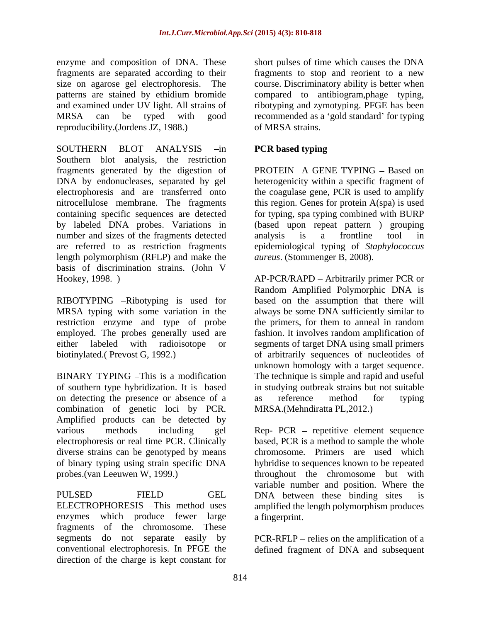enzyme and composition of DNA. These short pulses of time which causes the DNA fragments are separated according to their fragments to stop and reorient to a new size on agarose gel electrophoresis. The course. Discriminatory ability is better when patterns are stained by ethidium bromide compared to antibiogram,phage typing, and examined under UV light. All strains of MRSA can be typed with good recommended as a 'gold standard' for typing reproducibility.(Jordens JZ, 1988.)

SOUTHERN BLOT ANALYSIS -in **PCR based typing** Southern blot analysis, the restriction fragments generated by the digestion of DNA by endonucleases, separated by gel heterogenicity within a specific fragment of electrophoresis and are transferred onto the coagulase gene, PCR is used to amplify nitrocellulose membrane. The fragments containing specific sequences are detected for typing, spa typing combined with BURP by labeled DNA probes. Variations in (based upon repeat pattern ) grouping number and sizes of the fragments detected analysis is a frontline tool in are referred to as restriction fragments epidemiological typing of *Staphylococcus*  length polymorphism (RFLP) and make the basis of discrimination strains. (John V Hookey, 1998. ) AP-PCR/RAPD Arbitrarily primer PCR or

restriction enzyme and type of probe employed. The probes generally used are

BINARY TYPING –This is a modification The technique is simple and rapid and useful of southern type hybridization. It is based on detecting the presence or absence of a same interest energy and the typing combination of genetic loci by PCR. Amplified products can be detected by various methods including gel Rep-PCR – repetitive element sequence electrophoresis or real time PCR. Clinically based, PCR is a method to sample the whole diverse strains can be genotyped by means of binary typing using strain specific DNA hybridise to sequences known to be repeated probes.(van Leeuwen W, 1999.) throughout the chromosome but with

enzymes which produce fewer large a fingerprint. fragments of the chromosome. These segments do not separate easily by PCR-RFLP – relies on the amplification of a conventional electrophoresis. In PFGE the defined fragment of DNA and subsequentdirection of the charge is kept constant for

ribotyping and zymotyping. PFGE has been of MRSA strains.

### **PCR based typing**

PROTEIN A GENE TYPING - Based on this region. Genes for protein A(spa) is used analysis is a frontline tool in *aureus*. (Stommenger B, 2008).

RIBOTYPING –Ribotyping is used for based on the assumption that there will MRSA typing with some variation in the always be some DNA sufficiently similar to either labeled with radioisotope or segments of target DNA using small primers biotinylated.( Prevost G, 1992.) of arbitrarily sequences of nucleotides of Random Amplified Polymorphic DNA is the primers, for them to anneal in random fashion. It involves random amplification of unknown homology with a target sequence. in studying outbreak strains but not suitable as reference method for typing MRSA.(Mehndiratta PL,2012.)

PULSED FIELD GEL DNA between these binding sites is ELECTROPHORESIS -This method uses amplified the length polymorphism produces chromosome. Primers are used which variable number and position. Where the a fingerprint.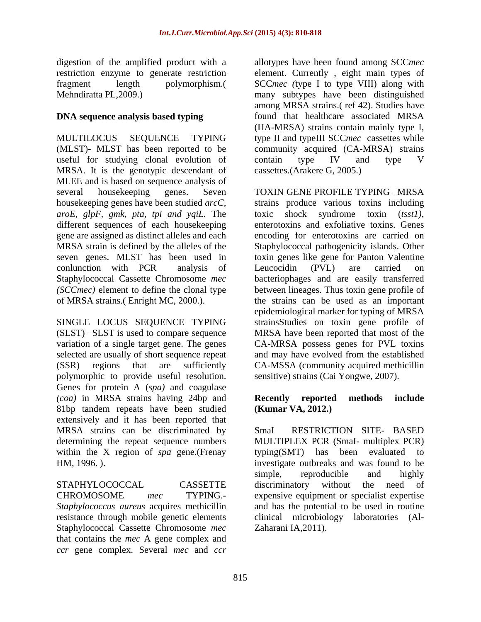MULTILOCUS SEQUENCE TYPING type II and typeIII SCC*mec* cassettes while (MLST)- MLST has been reported to be community acquired (CA-MRSA) strains useful for studying clonal evolution of contain type IV and type V MRSA. It is the genotypic descendant of MLEE and is based on sequence analysis of several housekeeping genes. Seven TOXIN GENE PROFILE TYPING -MRSA housekeeping genes have been studied *arcC,*  strains produce various toxins including *aroE, glpF, gmk, pta, tpi and yqiL.* The different sequences of each housekeeping enterotoxins and exfoliative toxins. Genes gene are assigned as distinct alleles and each encoding for enterotoxins are carried on MRSA strain is defined by the alleles of the Staphylococcal pathogenicity islands. Other seven genes. MLST has been used in toxin genes like gene for Panton Valentine conlunction with PCR analysis of Staphylococcal Cassette Chromosome *mec*  bacteriophages and are easily transferred *(SCCmec)* element to define the clonal type between lineages. Thus toxin gene profile of of MRSA strains.( Enright MC, 2000.). the strains can be used as an important

SINGLE LOCUS SEQUENCE TYPING  $(SLST)$  -SLST is used to compare sequence polymorphic to provide useful resolution. Genes for protein A (*spa)* and coagulase *(coa)* in MRSA strains having 24bp and **Recently reported methods include** 81bp tandem repeats have been studied extensively and it has been reported that MRSA strains can be discriminated by SmaI RESTRICTION SITE- BASED determining the repeat sequence numbers MULTIPLEX PCR (SmaI- multiplex PCR) within the X region of *spa* gene.(Frenay typing(SMT) has been evaluated to HM, 1996. ). investigate outbreaks and was found to be

resistance through mobile genetic elements clinical microbiology laboratories (Al-Staphylococcal Cassette Chromosome *mec* that contains the *mec* A gene complex and *ccr* gene complex. Several *mec* and *ccr*

digestion of the amplified product with a allotypes have been found among SCC*mec*  restriction enzyme to generate restriction element. Currently, eight main types of fragment length polymorphism.( SCC*mec (*type I to type VIII) along with Mehndiratta PL,2009.) many subtypes have been distinguished **DNA sequence analysis based typing** found that healthcare associated MRSA among MRSA strains.( ref 42). Studies have (HA-MRSA) strains contain mainly type I, contain type IV and type V cassettes.(Arakere G, 2005.)

variation of a single target gene. The genes CA-MRSA possess genes for PVL toxins selected are usually of short sequence repeat and may have evolved from the established (SSR) regions that are sufficiently CA-MSSA (community acquired methicillin toxic shock syndrome toxin (*tsst1)*, enterotoxins and exfoliative toxins. Genes Leucocidin (PVL) are carried on epidemiological marker for typing of MRSA strainsStudies on toxin gene profile of MRSA have been reported that most of the sensitive) strains (Cai Yongwe, 2007).

### **Recently reported methods include (Kumar VA, 2012.)**

STAPHYLOCOCCAL CASSETTE discriminatory without the need of CHROMOSOME *mec* TYPING.- expensive equipment or specialist expertise *Staphylococcus aureus* acquires methicillin and has the potential to be used in routine SmaI RESTRICTION SITE- BASED typing(SMT) has been evaluated to simple, reproducible and highly discriminatory without the need of clinical microbiology laboratories (Al- Zaharani IA,2011).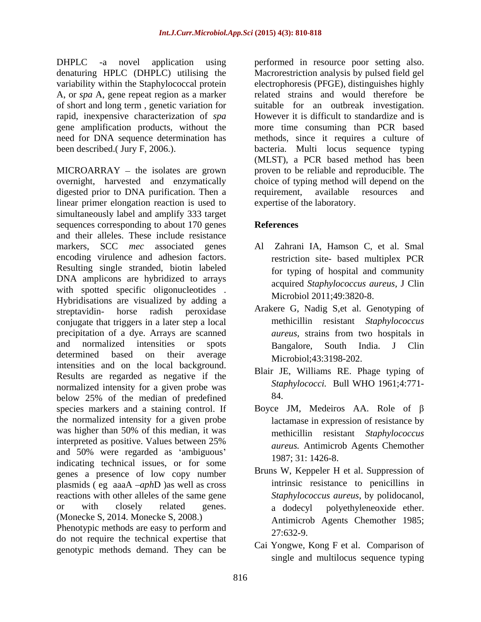denaturing HPLC (DHPLC) utilising the variability within the Staphylococcal protein of short and long term , genetic variation for rapid, inexpensive characterization of *spa* 

 $MICROARRAY - the isolates are grown$ overnight, harvested and enzymatically choice of typing method will depend on the digested prior to DNA purification. Then a requirement, available resources and linear primer elongation reaction is used to simultaneously label and amplify 333 target sequences corresponding to about 170 genes References and their alleles. These include resistance markers, SCC *mec* associated genes Al Zahrani IA, Hamson C, et al. Smal encoding virulence and adhesion factors. Resulting single stranded, biotin labeled DNA amplicons are hybridized to arrays with spotted specific oligonucleotides. Hybridisations are visualized by adding a streptavidin- horse radish peroxidase Arakere G, Nadig S,et al. Genotyping of conjugate that triggers in a later step a local precipitation of a dye. Arrays are scanned and normalized intensities or spots determined based on their average  $\overline{Microbiol43331982002}$ intensities and on the local background. Results are regarded as negative if the normalized intensity for a given probe was<br>holow 25% of the moder of producing and the state of below 25% of the median of predefined species markers and a staining control. If the normalized intensity for a given probe was higher than 50% of this median, it was interpreted as positive. Values between 25% and 50% were regarded as 'ambiguous' indicating technical issues, or for some genes a presence of low copy number plasmids ( eg aaaA *aph*D )as well as cross reactions with other alleles of the same gene *Staphylococcus aureus*, by polidocanol, or with closely related genes. a dodecyl polyethyleneoxide ether.

Phenotypic methods are easy to perform and  $27:632-9$ . do not require the technical expertise that genotypic methods demand. They can be

DHPLC -a novel application using performed in resource poor setting also. A, or *spa* A, gene repeat region as a marker a related strains and would therefore be gene amplification products, without the more time consuming than PCR based need for DNA sequence determination has methods, since it requires a culture of been described.( Jury F, 2006.). bacteria. Multi locus sequence typing Macrorestriction analysis by pulsed field gel electrophoresis (PFGE), distinguishes highly suitable for an outbreak investigation. However it is difficult to standardize and is (MLST), a PCR based method has been proven to be reliable and reproducible. The requirement, available resources and expertise of the laboratory.

## **References**

- restriction site- based multiplex PCR for typing of hospital and community acquired *Staphylococcus aureus,* J Clin Microbiol 2011;49:3820-8.
- methicillin resistant *Staphylococcus aureus,* strains from two hospitals in Bangalore, South India. J Clin Microbiol;43:3198-202.
- Blair JE, Williams RE. Phage typing of *Staphylococci.* Bull WHO 1961;4:771- 84.
- Boyce JM, Medeiros AA. Role of  $\beta$ lactamase in expression of resistance by methicillin resistant *Staphylococcus aureus.* Antimicrob Agents Chemother 1987; 31: 1426-8.
- (Monecke S, 2014. Monecke S, 2008.) Antimicrob Agents Chemother 1985; Bruns W, Keppeler H et al. Suppression of intrinsic resistance to penicillins in <sup>a</sup> dodecyl polyethyleneoxide ether. Antimicrob Agents Chemother 1985; 27:632-9.
	- Cai Yongwe, Kong F et al. Comparison of single and multilocus sequence typing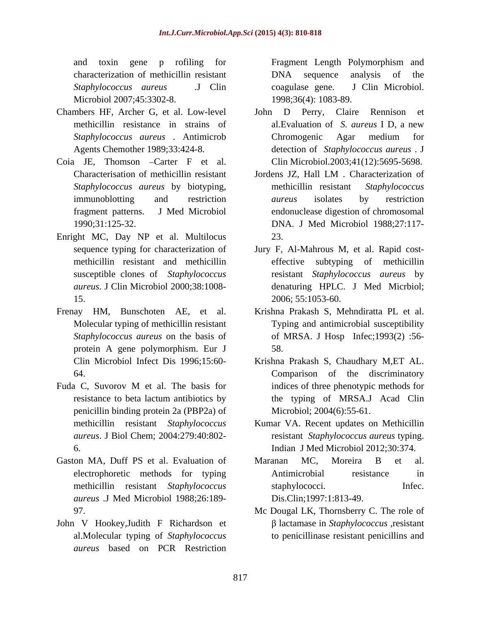and toxin gene p rofiling for characterization of methicillin resistant Microbiol 2007;45:3302-8.

- Chambers HF, Archer G, et al. Low-level
- Coia JE, Thomson Carter F et al.
- Enright MC, Day NP et al. Multilocus 23.
- protein A gene polymorphism. Eur J
- Fuda C, Suvorov M et al. The basis for penicillin binding protein 2a (PBP2a) of
- Gaston MA, Duff PS et al. Evaluation of Maranan MC, Moreira B et al. *aureus .*J Med Microbiol 1988;26:189-
- John V Hookey,Judith F Richardson et *aureus* based on PCR Restriction

*Staphylococcus aureus .*J Clin Fragment Length Polymorphism and DNA sequence analysis of the coagulase gene. J Clin Microbiol. 1998;36(4): 1083-89.

- methicillin resistance in strains of al.Evaluation of *S. aureus* I D, a new *Staphylococcus aureus* . Antimicrob Agents Chemother 1989;33:424-8. detection of *Staphylococcus aureus* . J John D Perry, Claire Rennison Chromogenic Agar medium for Clin Microbiol.2003;41(12):5695-5698.
- Characterisation of methicillin resistant Jordens JZ, Hall LM, Characterization of *Staphylococcus aureus* by biotyping, immunoblotting and restriction *aureus* isolates by restriction fragment patterns. J Med Microbiol endonuclease digestion of chromosomal 1990;31:125-32. DNA. J Med Microbiol 1988;27:117- Jordens JZ, Hall LM . Characterization of methicillin resistant *Staphylococcus aureus* isolates by restriction 23.
- sequence typing for characterization of Jury F, Al-Mahrous M, et al. Rapid cost methicillin resistant and methicillin susceptible clones of *Staphylococcus*  resistant *Staphylococcus aureus* by *aureus*. J Clin Microbiol 2000;38:1008- denaturing HPLC. J Med Micrbiol; 15. 2006; 55:1053-60. effective subtyping of methicillin
- Frenay HM, Bunschoten AE, et al. Krishna Prakash S, Mehndiratta PL et al. Molecular typing of methicillin resistant Typing and antimicrobial susceptibility *Staphylococcus aureus* on the basis of of MRSA. J Hosp Infec;1993(2) :56- 58.
	- Clin Microbiol Infect Dis 1996;15:60- Krishna Prakash S, Chaudhary M,ET AL. 64. Comparison of the discriminatory resistance to beta lactum antibiotics by the typing of MRSA.J Acad Clin indices of three phenotypic methods for Microbiol; 2004(6):55-61.
	- methicillin resistant *Staphylococcus*  Kumar VA. Recent updates on Methicillin *aureus*. J Biol Chem; 2004:279:40:802- resistant *Staphylococcus aureus* typing. 6. Indian J Med Microbiol 2012;30:374.
	- electrophoretic methods for typing methicillin resistant *Staphylococcus*  Maranan MC, Moreira B et al. Antimicrobial resistance in staphylococci. Infec. Dis.Clin;1997:1:813-49.
	- 97. Mc Dougal LK, Thornsberry C. The role of al.Molecular typing of *Staphylococcus*  to penicillinase resistant penicillins andlactamase in *Staphylococcus* ,resistant